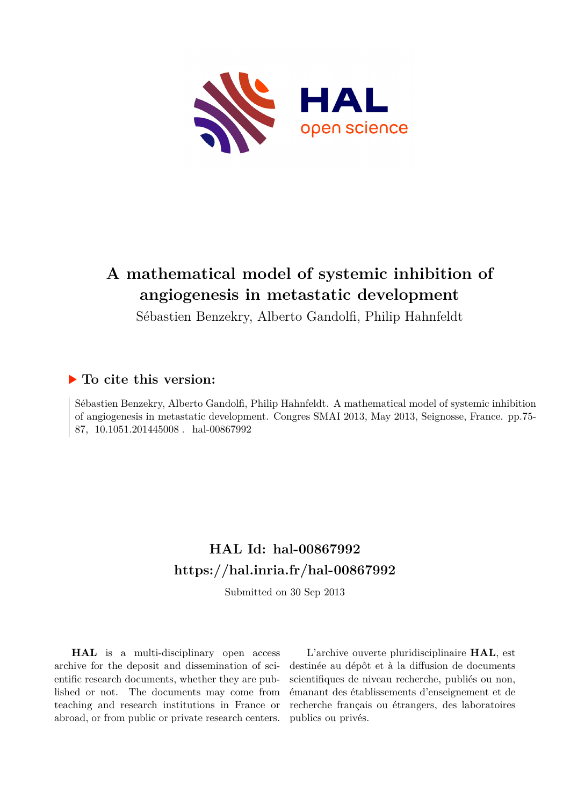

# **A mathematical model of systemic inhibition of angiogenesis in metastatic development**

Sébastien Benzekry, Alberto Gandolfi, Philip Hahnfeldt

### **To cite this version:**

Sébastien Benzekry, Alberto Gandolfi, Philip Hahnfeldt. A mathematical model of systemic inhibition of angiogenesis in metastatic development. Congres SMAI 2013, May 2013, Seignosse, France. pp.75- 87, 10.1051.201445008. hal-00867992

# **HAL Id: hal-00867992 <https://hal.inria.fr/hal-00867992>**

Submitted on 30 Sep 2013

**HAL** is a multi-disciplinary open access archive for the deposit and dissemination of scientific research documents, whether they are published or not. The documents may come from teaching and research institutions in France or abroad, or from public or private research centers.

L'archive ouverte pluridisciplinaire **HAL**, est destinée au dépôt et à la diffusion de documents scientifiques de niveau recherche, publiés ou non, émanant des établissements d'enseignement et de recherche français ou étrangers, des laboratoires publics ou privés.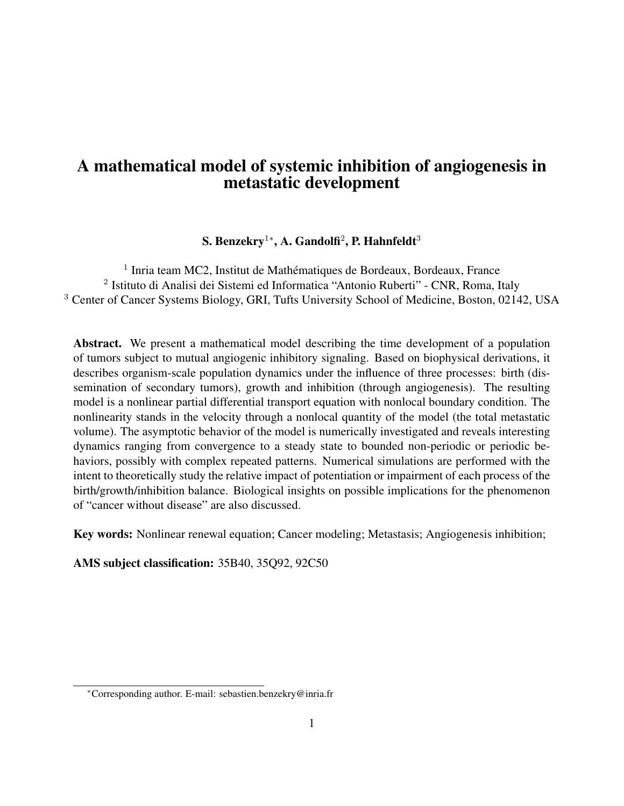### A mathematical model of systemic inhibition of angiogenesis in metastatic development

### S. Benzekry $^{1*}$ , A. Gandolfi $^2$ , P. Hahnfeldt $^3$

<sup>1</sup> Inria team MC2, Institut de Mathématiques de Bordeaux, Bordeaux, France <sup>2</sup> Istituto di Analisi dei Sistemi ed Informatica "Antonio Ruberti" - CNR, Roma, Italy <sup>3</sup> Center of Cancer Systems Biology, GRI, Tufts University School of Medicine, Boston, 02142, USA

Abstract. We present a mathematical model describing the time development of a population of tumors subject to mutual angiogenic inhibitory signaling. Based on biophysical derivations, it describes organism-scale population dynamics under the influence of three processes: birth (dissemination of secondary tumors), growth and inhibition (through angiogenesis). The resulting model is a nonlinear partial differential transport equation with nonlocal boundary condition. The nonlinearity stands in the velocity through a nonlocal quantity of the model (the total metastatic volume). The asymptotic behavior of the model is numerically investigated and reveals interesting dynamics ranging from convergence to a steady state to bounded non-periodic or periodic behaviors, possibly with complex repeated patterns. Numerical simulations are performed with the intent to theoretically study the relative impact of potentiation or impairment of each process of the birth/growth/inhibition balance. Biological insights on possible implications for the phenomenon of "cancer without disease" are also discussed.

Key words: Nonlinear renewal equation; Cancer modeling; Metastasis; Angiogenesis inhibition;

AMS subject classification: 35B40, 35Q92, 92C50

<sup>∗</sup>Corresponding author. E-mail: sebastien.benzekry@inria.fr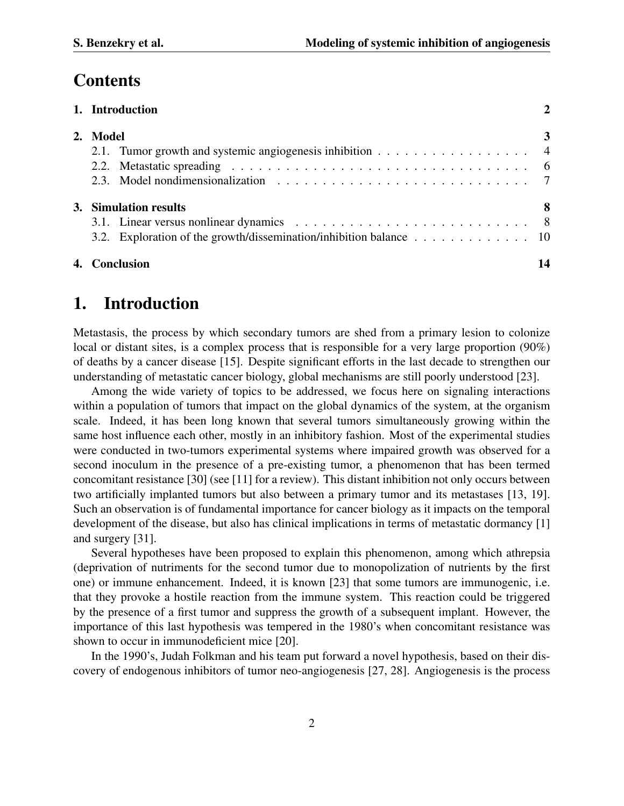## **Contents**

| 1. Introduction                                                    |    |
|--------------------------------------------------------------------|----|
| 2. Model                                                           |    |
| 2.1. Tumor growth and systemic angiogenesis inhibition 4           |    |
|                                                                    |    |
|                                                                    |    |
| 3. Simulation results                                              | 8  |
|                                                                    |    |
| 3.2. Exploration of the growth/dissemination/inhibition balance 10 |    |
| 4. Conclusion                                                      | 14 |

### 1. Introduction

Metastasis, the process by which secondary tumors are shed from a primary lesion to colonize local or distant sites, is a complex process that is responsible for a very large proportion (90%) of deaths by a cancer disease [15]. Despite significant efforts in the last decade to strengthen our understanding of metastatic cancer biology, global mechanisms are still poorly understood [23].

Among the wide variety of topics to be addressed, we focus here on signaling interactions within a population of tumors that impact on the global dynamics of the system, at the organism scale. Indeed, it has been long known that several tumors simultaneously growing within the same host influence each other, mostly in an inhibitory fashion. Most of the experimental studies were conducted in two-tumors experimental systems where impaired growth was observed for a second inoculum in the presence of a pre-existing tumor, a phenomenon that has been termed concomitant resistance [30] (see [11] for a review). This distant inhibition not only occurs between two artificially implanted tumors but also between a primary tumor and its metastases [13, 19]. Such an observation is of fundamental importance for cancer biology as it impacts on the temporal development of the disease, but also has clinical implications in terms of metastatic dormancy [1] and surgery [31].

Several hypotheses have been proposed to explain this phenomenon, among which athrepsia (deprivation of nutriments for the second tumor due to monopolization of nutrients by the first one) or immune enhancement. Indeed, it is known [23] that some tumors are immunogenic, i.e. that they provoke a hostile reaction from the immune system. This reaction could be triggered by the presence of a first tumor and suppress the growth of a subsequent implant. However, the importance of this last hypothesis was tempered in the 1980's when concomitant resistance was shown to occur in immunodeficient mice [20].

In the 1990's, Judah Folkman and his team put forward a novel hypothesis, based on their discovery of endogenous inhibitors of tumor neo-angiogenesis [27, 28]. Angiogenesis is the process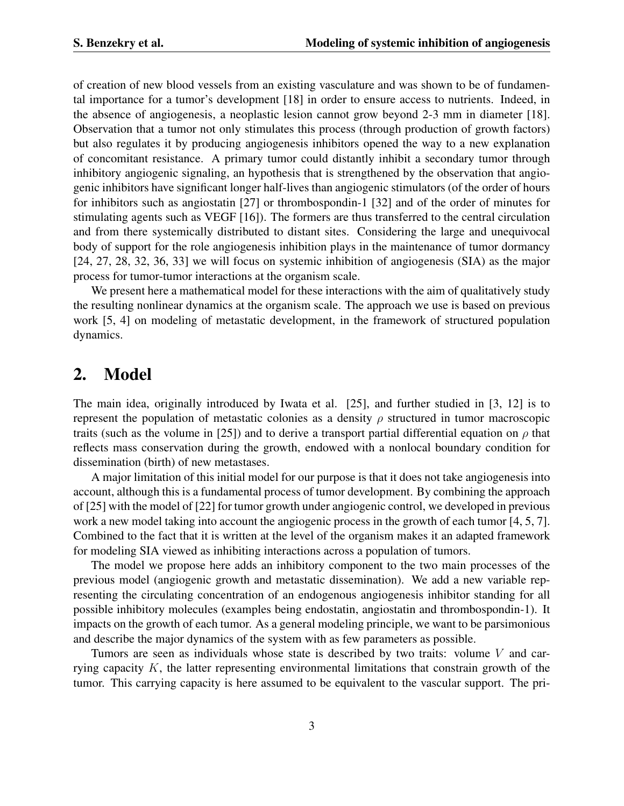of creation of new blood vessels from an existing vasculature and was shown to be of fundamental importance for a tumor's development [18] in order to ensure access to nutrients. Indeed, in the absence of angiogenesis, a neoplastic lesion cannot grow beyond 2-3 mm in diameter [18]. Observation that a tumor not only stimulates this process (through production of growth factors) but also regulates it by producing angiogenesis inhibitors opened the way to a new explanation of concomitant resistance. A primary tumor could distantly inhibit a secondary tumor through inhibitory angiogenic signaling, an hypothesis that is strengthened by the observation that angiogenic inhibitors have significant longer half-lives than angiogenic stimulators (of the order of hours for inhibitors such as angiostatin [27] or thrombospondin-1 [32] and of the order of minutes for stimulating agents such as VEGF [16]). The formers are thus transferred to the central circulation and from there systemically distributed to distant sites. Considering the large and unequivocal body of support for the role angiogenesis inhibition plays in the maintenance of tumor dormancy [24, 27, 28, 32, 36, 33] we will focus on systemic inhibition of angiogenesis (SIA) as the major process for tumor-tumor interactions at the organism scale.

We present here a mathematical model for these interactions with the aim of qualitatively study the resulting nonlinear dynamics at the organism scale. The approach we use is based on previous work [5, 4] on modeling of metastatic development, in the framework of structured population dynamics.

### 2. Model

The main idea, originally introduced by Iwata et al. [25], and further studied in [3, 12] is to represent the population of metastatic colonies as a density  $\rho$  structured in tumor macroscopic traits (such as the volume in [25]) and to derive a transport partial differential equation on  $\rho$  that reflects mass conservation during the growth, endowed with a nonlocal boundary condition for dissemination (birth) of new metastases.

A major limitation of this initial model for our purpose is that it does not take angiogenesis into account, although this is a fundamental process of tumor development. By combining the approach of [25] with the model of [22] for tumor growth under angiogenic control, we developed in previous work a new model taking into account the angiogenic process in the growth of each tumor [4, 5, 7]. Combined to the fact that it is written at the level of the organism makes it an adapted framework for modeling SIA viewed as inhibiting interactions across a population of tumors.

The model we propose here adds an inhibitory component to the two main processes of the previous model (angiogenic growth and metastatic dissemination). We add a new variable representing the circulating concentration of an endogenous angiogenesis inhibitor standing for all possible inhibitory molecules (examples being endostatin, angiostatin and thrombospondin-1). It impacts on the growth of each tumor. As a general modeling principle, we want to be parsimonious and describe the major dynamics of the system with as few parameters as possible.

Tumors are seen as individuals whose state is described by two traits: volume  $V$  and carrying capacity  $K$ , the latter representing environmental limitations that constrain growth of the tumor. This carrying capacity is here assumed to be equivalent to the vascular support. The pri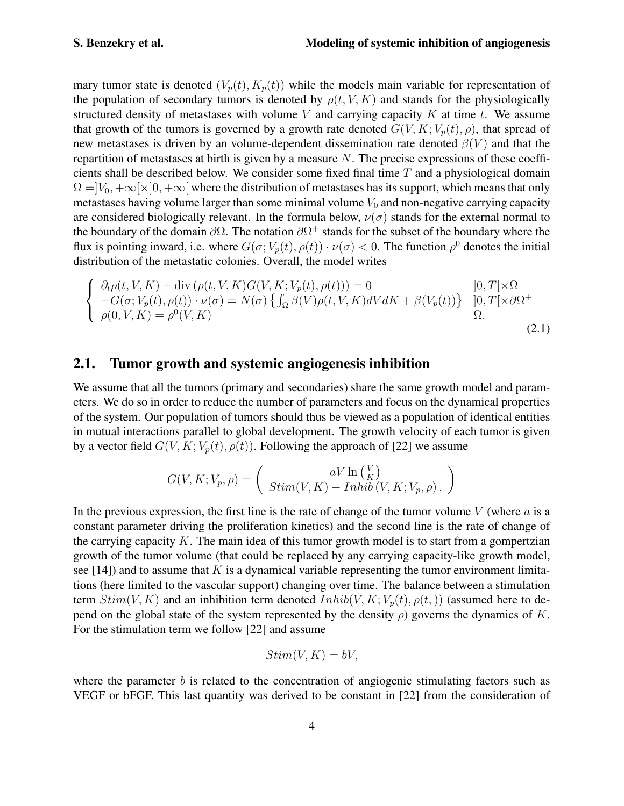mary tumor state is denoted  $(V_p(t), K_p(t))$  while the models main variable for representation of the population of secondary tumors is denoted by  $\rho(t, V, K)$  and stands for the physiologically structured density of metastases with volume V and carrying capacity K at time t. We assume that growth of the tumors is governed by a growth rate denoted  $G(V, K; V_p(t), \rho)$ , that spread of new metastases is driven by an volume-dependent dissemination rate denoted  $\beta(V)$  and that the repartition of metastases at birth is given by a measure  $N$ . The precise expressions of these coefficients shall be described below. We consider some fixed final time  $T$  and a physiological domain  $\Omega = |V_0, +\infty[\times]0, +\infty[$  where the distribution of metastases has its support, which means that only metastases having volume larger than some minimal volume  $V_0$  and non-negative carrying capacity are considered biologically relevant. In the formula below,  $\nu(\sigma)$  stands for the external normal to the boundary of the domain  $\partial\Omega$ . The notation  $\partial\Omega^+$  stands for the subset of the boundary where the flux is pointing inward, i.e. where  $G(\sigma; V_p(t), \rho(t)) \cdot \nu(\sigma) < 0$ . The function  $\rho^0$  denotes the initial distribution of the metastatic colonies. Overall, the model writes

$$
\begin{cases}\n\partial_t \rho(t, V, K) + \text{div} \left( \rho(t, V, K) G(V, K; V_p(t), \rho(t)) \right) = 0 & \quad [0, T[ \times \Omega - G(\sigma; V_p(t), \rho(t)) \cdot \nu(\sigma) = N(\sigma) \left\{ \int_{\Omega} \beta(V) \rho(t, V, K) dV dK + \beta(V_p(t)) \right\} & \quad [0, T[ \times \partial \Omega^+ - G(0, V, K) = \rho^0(V, K)] & \quad \Omega.\n\end{cases}
$$
\n
$$
(2.1)
$$

#### 2.1. Tumor growth and systemic angiogenesis inhibition

We assume that all the tumors (primary and secondaries) share the same growth model and parameters. We do so in order to reduce the number of parameters and focus on the dynamical properties of the system. Our population of tumors should thus be viewed as a population of identical entities in mutual interactions parallel to global development. The growth velocity of each tumor is given by a vector field  $G(V, K; V_p(t), \rho(t))$ . Following the approach of [22] we assume

$$
G(V, K; V_p, \rho) = \begin{pmatrix} aV \ln\left(\frac{V}{K}\right) \\ Stim(V, K) - Inhib(V, K; V_p, \rho) \end{pmatrix}
$$

In the previous expression, the first line is the rate of change of the tumor volume  $V$  (where  $\alpha$  is a constant parameter driving the proliferation kinetics) and the second line is the rate of change of the carrying capacity  $K$ . The main idea of this tumor growth model is to start from a gompertzian growth of the tumor volume (that could be replaced by any carrying capacity-like growth model, see [14]) and to assume that  $K$  is a dynamical variable representing the tumor environment limitations (here limited to the vascular support) changing over time. The balance between a stimulation term  $Stim(V, K)$  and an inhibition term denoted  $Inhib(V, K; V_p(t), \rho(t,))$  (assumed here to depend on the global state of the system represented by the density  $\rho$ ) governs the dynamics of K. For the stimulation term we follow [22] and assume

$$
Stim(V, K) = bV,
$$

where the parameter  $b$  is related to the concentration of angiogenic stimulating factors such as VEGF or bFGF. This last quantity was derived to be constant in [22] from the consideration of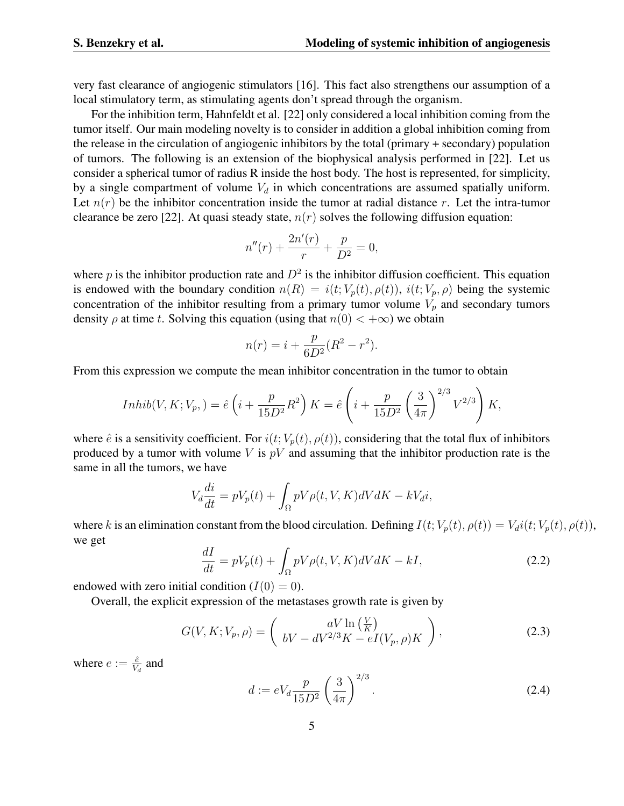very fast clearance of angiogenic stimulators [16]. This fact also strengthens our assumption of a local stimulatory term, as stimulating agents don't spread through the organism.

For the inhibition term, Hahnfeldt et al. [22] only considered a local inhibition coming from the tumor itself. Our main modeling novelty is to consider in addition a global inhibition coming from the release in the circulation of angiogenic inhibitors by the total (primary + secondary) population of tumors. The following is an extension of the biophysical analysis performed in [22]. Let us consider a spherical tumor of radius R inside the host body. The host is represented, for simplicity, by a single compartment of volume  $V_d$  in which concentrations are assumed spatially uniform. Let  $n(r)$  be the inhibitor concentration inside the tumor at radial distance r. Let the intra-tumor clearance be zero [22]. At quasi steady state,  $n(r)$  solves the following diffusion equation:

$$
n''(r) + \frac{2n'(r)}{r} + \frac{p}{D^2} = 0,
$$

where p is the inhibitor production rate and  $D^2$  is the inhibitor diffusion coefficient. This equation is endowed with the boundary condition  $n(R) = i(t; V_p(t), \rho(t))$ ,  $i(t; V_p, \rho)$  being the systemic concentration of the inhibitor resulting from a primary tumor volume  $V_p$  and secondary tumors density  $\rho$  at time t. Solving this equation (using that  $n(0) < +\infty$ ) we obtain

$$
n(r) = i + \frac{p}{6D^2}(R^2 - r^2).
$$

From this expression we compute the mean inhibitor concentration in the tumor to obtain

$$
Inhib(V, K; V_p,) = \hat{e}\left(i + \frac{p}{15D^2}R^2\right)K = \hat{e}\left(i + \frac{p}{15D^2}\left(\frac{3}{4\pi}\right)^{2/3}V^{2/3}\right)K,
$$

where  $\hat{e}$  is a sensitivity coefficient. For  $i(t; V_p(t), \rho(t))$ , considering that the total flux of inhibitors produced by a tumor with volume  $V$  is  $pV$  and assuming that the inhibitor production rate is the same in all the tumors, we have

$$
V_d \frac{di}{dt} = pV_p(t) + \int_{\Omega} pV\rho(t, V, K)dV dK - kV_d i,
$$

where k is an elimination constant from the blood circulation. Defining  $I(t; V_p(t), \rho(t)) = V_d i(t; V_p(t), \rho(t)),$ we get

$$
\frac{dI}{dt} = pV_p(t) + \int_{\Omega} pV\rho(t, V, K)dV dK - kI,
$$
\n(2.2)

endowed with zero initial condition  $(I(0) = 0)$ .

Overall, the explicit expression of the metastases growth rate is given by

$$
G(V, K; V_p, \rho) = \begin{pmatrix} aV \ln\left(\frac{V}{K}\right) \\ bV - dV^{2/3}K - eI(V_p, \rho)K \end{pmatrix},
$$
\n(2.3)

where  $e := \frac{\hat{e}}{V_d}$  and

$$
d := eV_d \frac{p}{15D^2} \left(\frac{3}{4\pi}\right)^{2/3}.
$$
 (2.4)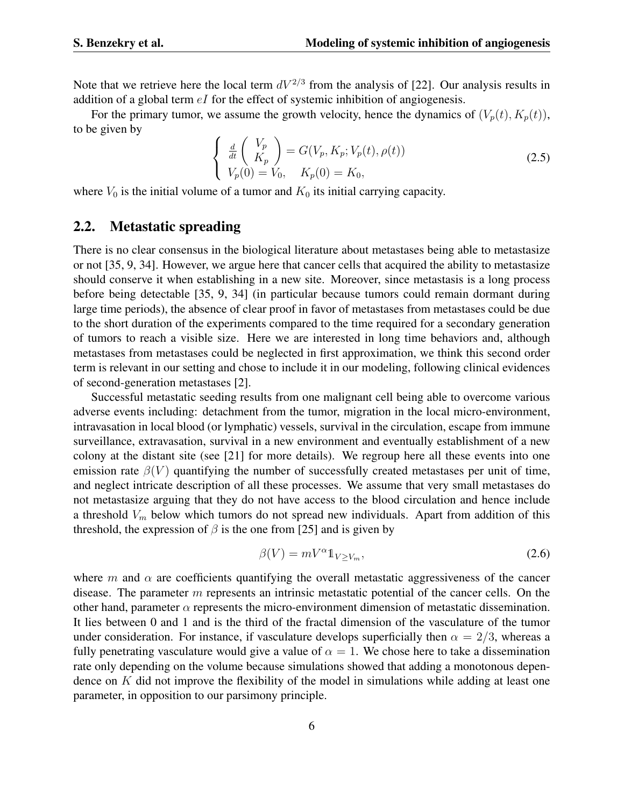Note that we retrieve here the local term  $dV^{2/3}$  from the analysis of [22]. Our analysis results in addition of a global term  $eI$  for the effect of systemic inhibition of angiogenesis.

For the primary tumor, we assume the growth velocity, hence the dynamics of  $(V_p(t), K_p(t))$ , to be given by

$$
\begin{cases}\n\frac{d}{dt}\begin{pmatrix} V_p \\ K_p \end{pmatrix} = G(V_p, K_p; V_p(t), \rho(t)) \\
V_p(0) = V_0, \quad K_p(0) = K_0,\n\end{cases}
$$
\n(2.5)

where  $V_0$  is the initial volume of a tumor and  $K_0$  its initial carrying capacity.

#### 2.2. Metastatic spreading

There is no clear consensus in the biological literature about metastases being able to metastasize or not [35, 9, 34]. However, we argue here that cancer cells that acquired the ability to metastasize should conserve it when establishing in a new site. Moreover, since metastasis is a long process before being detectable [35, 9, 34] (in particular because tumors could remain dormant during large time periods), the absence of clear proof in favor of metastases from metastases could be due to the short duration of the experiments compared to the time required for a secondary generation of tumors to reach a visible size. Here we are interested in long time behaviors and, although metastases from metastases could be neglected in first approximation, we think this second order term is relevant in our setting and chose to include it in our modeling, following clinical evidences of second-generation metastases [2].

Successful metastatic seeding results from one malignant cell being able to overcome various adverse events including: detachment from the tumor, migration in the local micro-environment, intravasation in local blood (or lymphatic) vessels, survival in the circulation, escape from immune surveillance, extravasation, survival in a new environment and eventually establishment of a new colony at the distant site (see [21] for more details). We regroup here all these events into one emission rate  $\beta(V)$  quantifying the number of successfully created metastases per unit of time, and neglect intricate description of all these processes. We assume that very small metastases do not metastasize arguing that they do not have access to the blood circulation and hence include a threshold  $V_m$  below which tumors do not spread new individuals. Apart from addition of this threshold, the expression of  $\beta$  is the one from [25] and is given by

$$
\beta(V) = mV^{\alpha}1_{V \ge V_m},\tag{2.6}
$$

where m and  $\alpha$  are coefficients quantifying the overall metastatic aggressiveness of the cancer disease. The parameter  $m$  represents an intrinsic metastatic potential of the cancer cells. On the other hand, parameter  $\alpha$  represents the micro-environment dimension of metastatic dissemination. It lies between 0 and 1 and is the third of the fractal dimension of the vasculature of the tumor under consideration. For instance, if vasculature develops superficially then  $\alpha = 2/3$ , whereas a fully penetrating vasculature would give a value of  $\alpha = 1$ . We chose here to take a dissemination rate only depending on the volume because simulations showed that adding a monotonous dependence on K did not improve the flexibility of the model in simulations while adding at least one parameter, in opposition to our parsimony principle.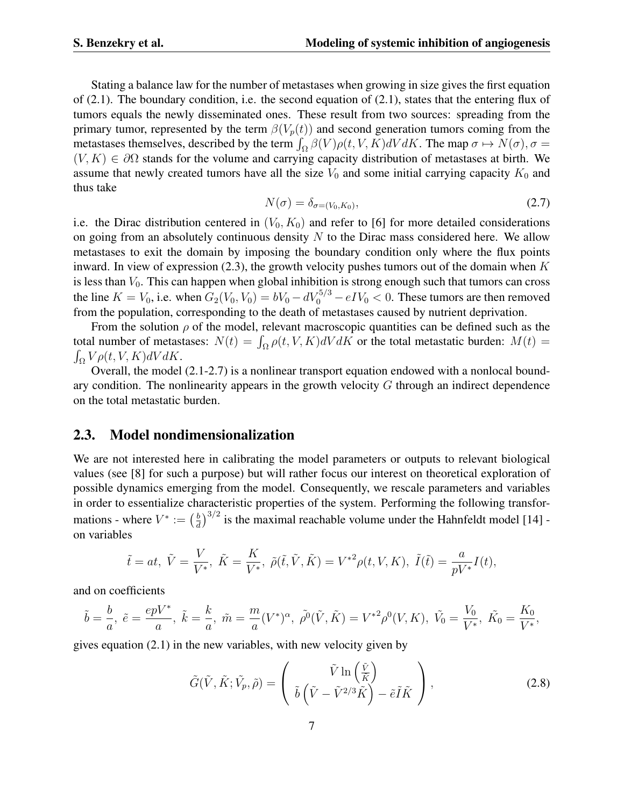Stating a balance law for the number of metastases when growing in size gives the first equation of (2.1). The boundary condition, i.e. the second equation of (2.1), states that the entering flux of tumors equals the newly disseminated ones. These result from two sources: spreading from the primary tumor, represented by the term  $\beta(V_p(t))$  and second generation tumors coming from the metastases themselves, described by the term  $\int_{\Omega} \beta(V) \rho(t, V, K) dV dK$ . The map  $\sigma \mapsto N(\sigma)$ ,  $\sigma =$  $(V, K) \in \partial\Omega$  stands for the volume and carrying capacity distribution of metastases at birth. We assume that newly created tumors have all the size  $V_0$  and some initial carrying capacity  $K_0$  and thus take

$$
N(\sigma) = \delta_{\sigma=(V_0, K_0)},\tag{2.7}
$$

i.e. the Dirac distribution centered in  $(V_0, K_0)$  and refer to [6] for more detailed considerations on going from an absolutely continuous density  $N$  to the Dirac mass considered here. We allow metastases to exit the domain by imposing the boundary condition only where the flux points inward. In view of expression (2.3), the growth velocity pushes tumors out of the domain when  $K$ is less than  $V_0$ . This can happen when global inhibition is strong enough such that tumors can cross the line  $K = V_0$ , i.e. when  $G_2(V_0, V_0) = bV_0 - dV_0^{5/3} - eIV_0 < 0$ . These tumors are then removed from the population, corresponding to the death of metastases caused by nutrient deprivation.

From the solution  $\rho$  of the model, relevant macroscopic quantities can be defined such as the total number of metastases:  $N(t) = \int_{\Omega} \rho(t, V, K) dV dK$  or the total metastatic burden:  $M(t) =$  $\int_{\Omega} V \rho(t, V, K) dV dK.$ 

Overall, the model (2.1-2.7) is a nonlinear transport equation endowed with a nonlocal boundary condition. The nonlinearity appears in the growth velocity  $G$  through an indirect dependence on the total metastatic burden.

#### 2.3. Model nondimensionalization

We are not interested here in calibrating the model parameters or outputs to relevant biological values (see [8] for such a purpose) but will rather focus our interest on theoretical exploration of possible dynamics emerging from the model. Consequently, we rescale parameters and variables in order to essentialize characteristic properties of the system. Performing the following transformations - where  $V^* := \left(\frac{b}{d}\right)$  $\frac{b}{d}$ )<sup>3/2</sup> is the maximal reachable volume under the Hahnfeldt model [14] on variables

$$
\tilde{t} = at, \ \tilde{V} = \frac{V}{V^*}, \ \tilde{K} = \frac{K}{V^*}, \ \tilde{\rho}(\tilde{t}, \tilde{V}, \tilde{K}) = V^{*2} \rho(t, V, K), \ \tilde{I}(\tilde{t}) = \frac{a}{pV^*} I(t),
$$

and on coefficients

$$
\tilde{b} = \frac{b}{a}, \ \tilde{e} = \frac{epV^*}{a}, \ \tilde{k} = \frac{k}{a}, \ \tilde{m} = \frac{m}{a}(V^*)^{\alpha}, \ \tilde{\rho^0}(\tilde{V}, \tilde{K}) = V^{*2}\rho^0(V, K), \ \tilde{V_0} = \frac{V_0}{V^*}, \ \tilde{K_0} = \frac{K_0}{V^*},
$$

gives equation (2.1) in the new variables, with new velocity given by

$$
\tilde{G}(\tilde{V}, \tilde{K}; \tilde{V}_p, \tilde{\rho}) = \begin{pmatrix} \tilde{V} \ln\left(\frac{\tilde{V}}{\tilde{K}}\right) \\ \tilde{b}\left(\tilde{V} - \tilde{V}^{2/3}\tilde{K}\right) - \tilde{e}\tilde{I}\tilde{K} \end{pmatrix},
$$
\n(2.8)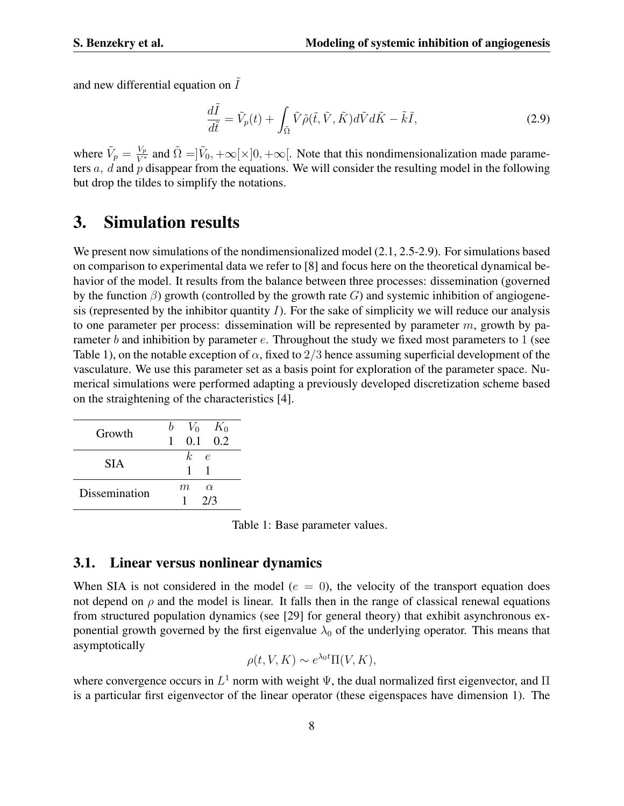and new differential equation on  $\tilde{I}$ 

$$
\frac{d\tilde{I}}{d\tilde{t}} = \tilde{V}_p(t) + \int_{\tilde{\Omega}} \tilde{V}\tilde{\rho}(\tilde{t}, \tilde{V}, \tilde{K}) d\tilde{V} d\tilde{K} - \tilde{k}\tilde{I},
$$
\n(2.9)

where  $\tilde{V}_p = \frac{V_p}{V^*}$  and  $\tilde{\Omega} = \tilde{V}_0, +\infty[\times]0, +\infty[$ . Note that this nondimensionalization made parameters  $a$ ,  $d$  and  $p$  disappear from the equations. We will consider the resulting model in the following but drop the tildes to simplify the notations.

### 3. Simulation results

We present now simulations of the nondimensionalized model  $(2.1, 2.5-2.9)$ . For simulations based on comparison to experimental data we refer to [8] and focus here on the theoretical dynamical behavior of the model. It results from the balance between three processes: dissemination (governed by the function  $\beta$ ) growth (controlled by the growth rate G) and systemic inhibition of angiogenesis (represented by the inhibitor quantity  $I$ ). For the sake of simplicity we will reduce our analysis to one parameter per process: dissemination will be represented by parameter  $m$ , growth by parameter b and inhibition by parameter  $e$ . Throughout the study we fixed most parameters to 1 (see Table 1), on the notable exception of  $\alpha$ , fixed to 2/3 hence assuming superficial development of the vasculature. We use this parameter set as a basis point for exploration of the parameter space. Numerical simulations were performed adapting a previously developed discretization scheme based on the straightening of the characteristics [4].

| Growth        | $V_0$ $K_0$<br>$0.1 \quad 0.2$<br>$\overline{1}$ |
|---------------|--------------------------------------------------|
| <b>SIA</b>    | k.<br>$\epsilon$<br>1                            |
| Dissemination | m<br>$\alpha$<br>2/3                             |

Table 1: Base parameter values.

#### 3.1. Linear versus nonlinear dynamics

When SIA is not considered in the model ( $e = 0$ ), the velocity of the transport equation does not depend on  $\rho$  and the model is linear. It falls then in the range of classical renewal equations from structured population dynamics (see [29] for general theory) that exhibit asynchronous exponential growth governed by the first eigenvalue  $\lambda_0$  of the underlying operator. This means that asymptotically

$$
\rho(t, V, K) \sim e^{\lambda_0 t} \Pi(V, K),
$$

where convergence occurs in  $L^1$  norm with weight  $\Psi$ , the dual normalized first eigenvector, and  $\Pi$ is a particular first eigenvector of the linear operator (these eigenspaces have dimension 1). The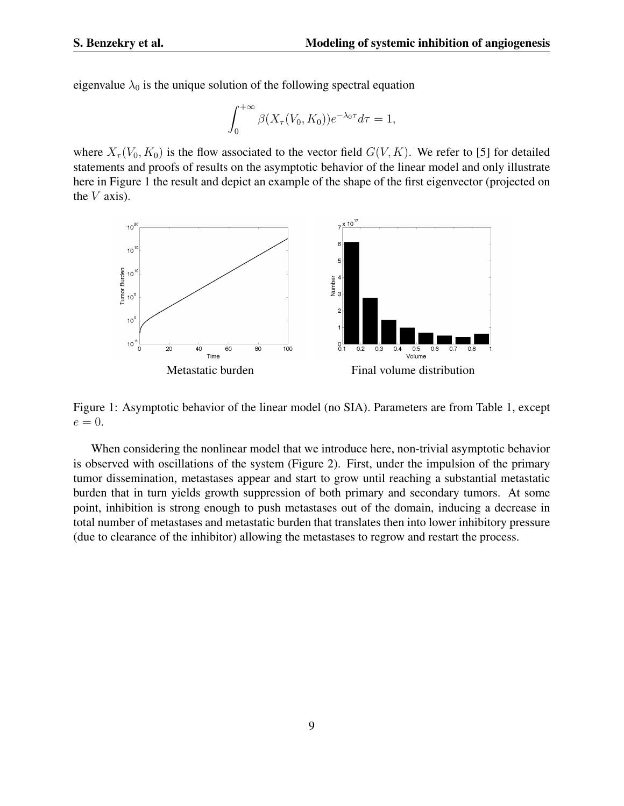eigenvalue  $\lambda_0$  is the unique solution of the following spectral equation

$$
\int_0^{+\infty} \beta(X_\tau(V_0, K_0)) e^{-\lambda_0 \tau} d\tau = 1,
$$

where  $X_{\tau}(V_0, K_0)$  is the flow associated to the vector field  $G(V, K)$ . We refer to [5] for detailed statements and proofs of results on the asymptotic behavior of the linear model and only illustrate here in Figure 1 the result and depict an example of the shape of the first eigenvector (projected on the  $V$  axis).



Figure 1: Asymptotic behavior of the linear model (no SIA). Parameters are from Table 1, except  $e=0.$ 

When considering the nonlinear model that we introduce here, non-trivial asymptotic behavior is observed with oscillations of the system (Figure 2). First, under the impulsion of the primary tumor dissemination, metastases appear and start to grow until reaching a substantial metastatic burden that in turn yields growth suppression of both primary and secondary tumors. At some point, inhibition is strong enough to push metastases out of the domain, inducing a decrease in total number of metastases and metastatic burden that translates then into lower inhibitory pressure (due to clearance of the inhibitor) allowing the metastases to regrow and restart the process.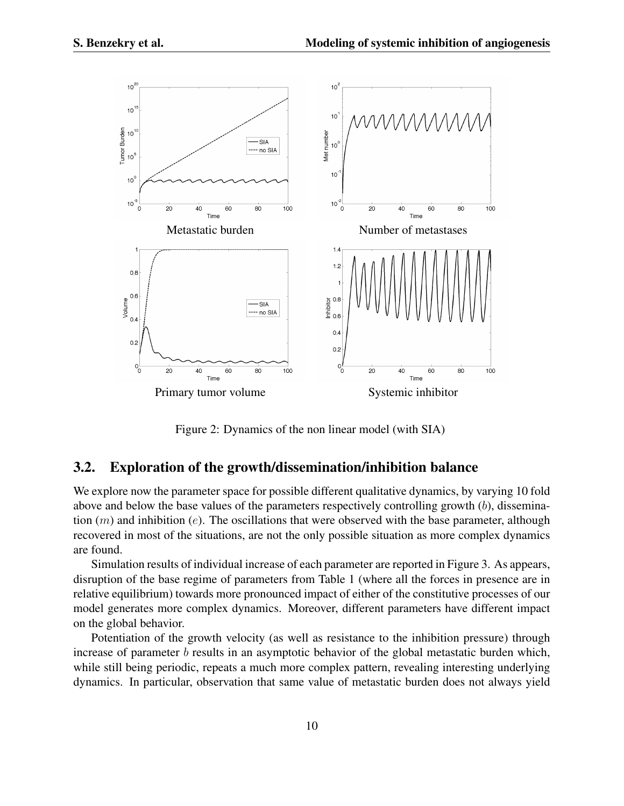

Figure 2: Dynamics of the non linear model (with SIA)

### 3.2. Exploration of the growth/dissemination/inhibition balance

We explore now the parameter space for possible different qualitative dynamics, by varying 10 fold above and below the base values of the parameters respectively controlling growth (b), dissemination  $(m)$  and inhibition (e). The oscillations that were observed with the base parameter, although recovered in most of the situations, are not the only possible situation as more complex dynamics are found.

Simulation results of individual increase of each parameter are reported in Figure 3. As appears, disruption of the base regime of parameters from Table 1 (where all the forces in presence are in relative equilibrium) towards more pronounced impact of either of the constitutive processes of our model generates more complex dynamics. Moreover, different parameters have different impact on the global behavior.

Potentiation of the growth velocity (as well as resistance to the inhibition pressure) through increase of parameter  $b$  results in an asymptotic behavior of the global metastatic burden which, while still being periodic, repeats a much more complex pattern, revealing interesting underlying dynamics. In particular, observation that same value of metastatic burden does not always yield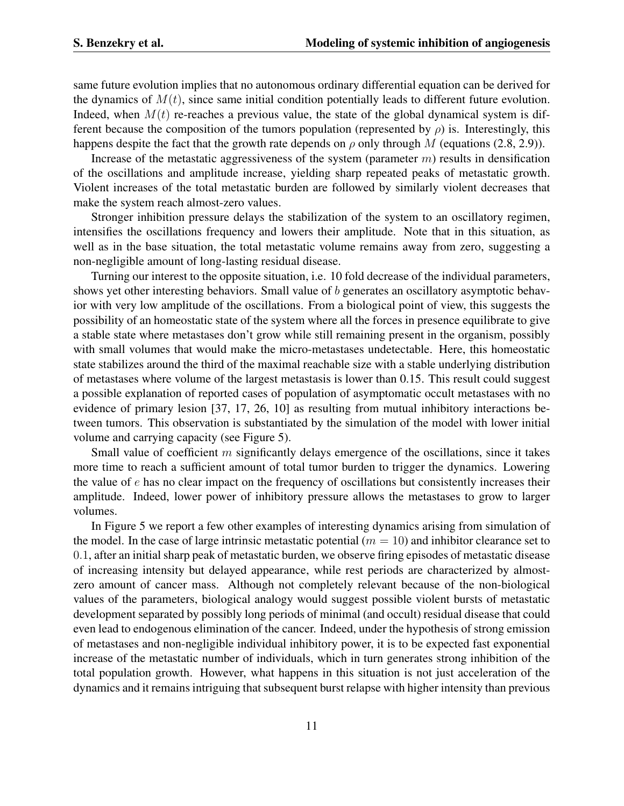same future evolution implies that no autonomous ordinary differential equation can be derived for the dynamics of  $M(t)$ , since same initial condition potentially leads to different future evolution. Indeed, when  $M(t)$  re-reaches a previous value, the state of the global dynamical system is different because the composition of the tumors population (represented by  $\rho$ ) is. Interestingly, this happens despite the fact that the growth rate depends on  $\rho$  only through M (equations (2.8, 2.9)).

Increase of the metastatic aggressiveness of the system (parameter  $m$ ) results in densification of the oscillations and amplitude increase, yielding sharp repeated peaks of metastatic growth. Violent increases of the total metastatic burden are followed by similarly violent decreases that make the system reach almost-zero values.

Stronger inhibition pressure delays the stabilization of the system to an oscillatory regimen, intensifies the oscillations frequency and lowers their amplitude. Note that in this situation, as well as in the base situation, the total metastatic volume remains away from zero, suggesting a non-negligible amount of long-lasting residual disease.

Turning our interest to the opposite situation, i.e. 10 fold decrease of the individual parameters, shows yet other interesting behaviors. Small value of b generates an oscillatory asymptotic behavior with very low amplitude of the oscillations. From a biological point of view, this suggests the possibility of an homeostatic state of the system where all the forces in presence equilibrate to give a stable state where metastases don't grow while still remaining present in the organism, possibly with small volumes that would make the micro-metastases undetectable. Here, this homeostatic state stabilizes around the third of the maximal reachable size with a stable underlying distribution of metastases where volume of the largest metastasis is lower than 0.15. This result could suggest a possible explanation of reported cases of population of asymptomatic occult metastases with no evidence of primary lesion [37, 17, 26, 10] as resulting from mutual inhibitory interactions between tumors. This observation is substantiated by the simulation of the model with lower initial volume and carrying capacity (see Figure 5).

Small value of coefficient  $m$  significantly delays emergence of the oscillations, since it takes more time to reach a sufficient amount of total tumor burden to trigger the dynamics. Lowering the value of  $e$  has no clear impact on the frequency of oscillations but consistently increases their amplitude. Indeed, lower power of inhibitory pressure allows the metastases to grow to larger volumes.

In Figure 5 we report a few other examples of interesting dynamics arising from simulation of the model. In the case of large intrinsic metastatic potential ( $m = 10$ ) and inhibitor clearance set to 0.1, after an initial sharp peak of metastatic burden, we observe firing episodes of metastatic disease of increasing intensity but delayed appearance, while rest periods are characterized by almostzero amount of cancer mass. Although not completely relevant because of the non-biological values of the parameters, biological analogy would suggest possible violent bursts of metastatic development separated by possibly long periods of minimal (and occult) residual disease that could even lead to endogenous elimination of the cancer. Indeed, under the hypothesis of strong emission of metastases and non-negligible individual inhibitory power, it is to be expected fast exponential increase of the metastatic number of individuals, which in turn generates strong inhibition of the total population growth. However, what happens in this situation is not just acceleration of the dynamics and it remains intriguing that subsequent burst relapse with higher intensity than previous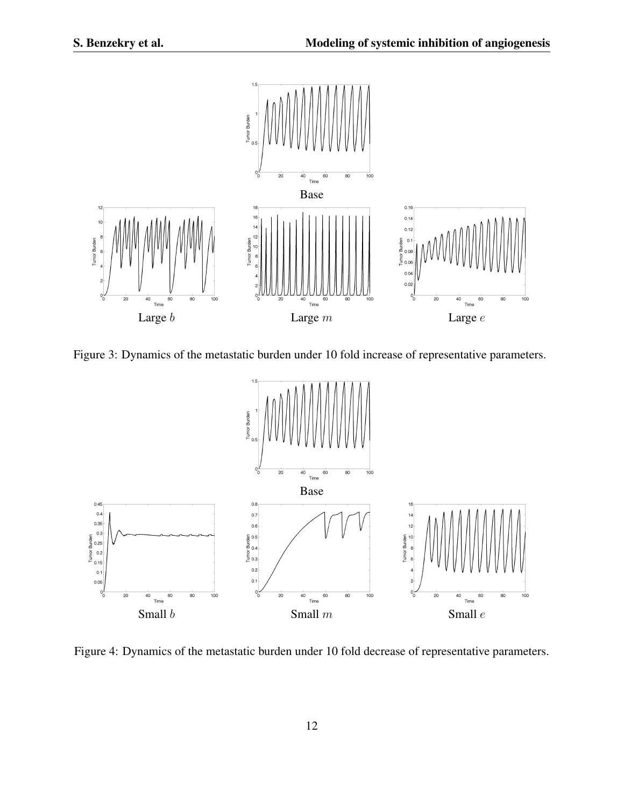

Figure 3: Dynamics of the metastatic burden under 10 fold increase of representative parameters.



Figure 4: Dynamics of the metastatic burden under 10 fold decrease of representative parameters.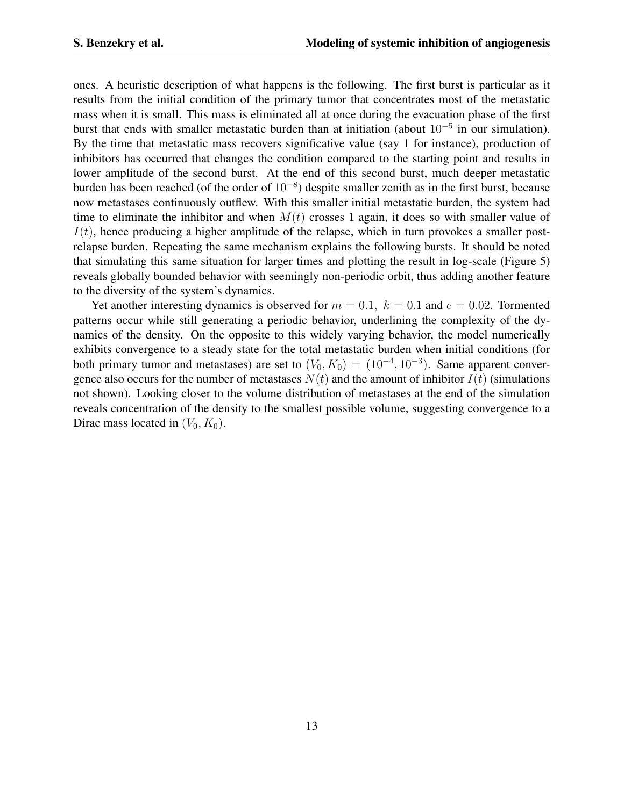ones. A heuristic description of what happens is the following. The first burst is particular as it results from the initial condition of the primary tumor that concentrates most of the metastatic mass when it is small. This mass is eliminated all at once during the evacuation phase of the first burst that ends with smaller metastatic burden than at initiation (about  $10^{-5}$  in our simulation). By the time that metastatic mass recovers significative value (say 1 for instance), production of inhibitors has occurred that changes the condition compared to the starting point and results in lower amplitude of the second burst. At the end of this second burst, much deeper metastatic burden has been reached (of the order of 10<sup>−</sup><sup>8</sup> ) despite smaller zenith as in the first burst, because now metastases continuously outflew. With this smaller initial metastatic burden, the system had time to eliminate the inhibitor and when  $M(t)$  crosses 1 again, it does so with smaller value of  $I(t)$ , hence producing a higher amplitude of the relapse, which in turn provokes a smaller postrelapse burden. Repeating the same mechanism explains the following bursts. It should be noted that simulating this same situation for larger times and plotting the result in log-scale (Figure 5) reveals globally bounded behavior with seemingly non-periodic orbit, thus adding another feature to the diversity of the system's dynamics.

Yet another interesting dynamics is observed for  $m = 0.1$ ,  $k = 0.1$  and  $e = 0.02$ . Tormented patterns occur while still generating a periodic behavior, underlining the complexity of the dynamics of the density. On the opposite to this widely varying behavior, the model numerically exhibits convergence to a steady state for the total metastatic burden when initial conditions (for both primary tumor and metastases) are set to  $(V_0, K_0) = (10^{-4}, 10^{-3})$ . Same apparent convergence also occurs for the number of metastases  $N(t)$  and the amount of inhibitor  $I(t)$  (simulations not shown). Looking closer to the volume distribution of metastases at the end of the simulation reveals concentration of the density to the smallest possible volume, suggesting convergence to a Dirac mass located in  $(V_0, K_0)$ .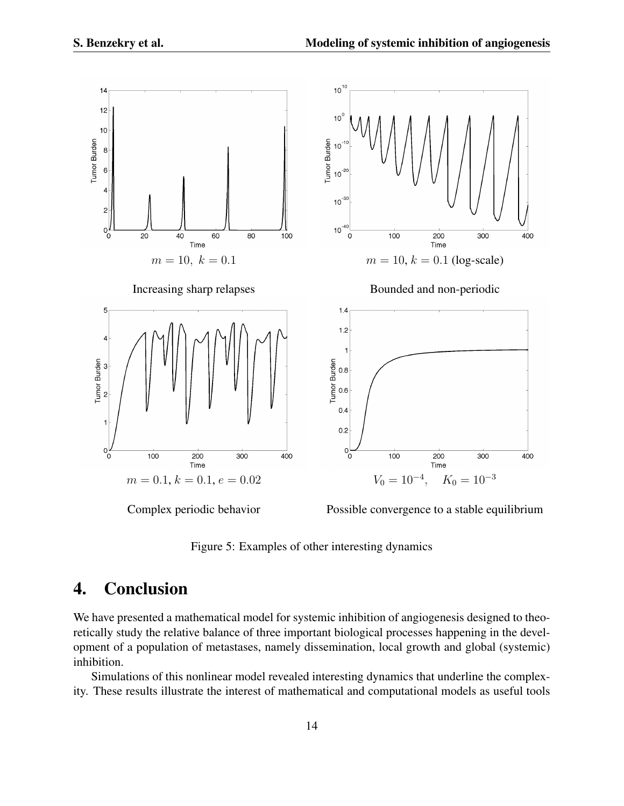

Figure 5: Examples of other interesting dynamics

## 4. Conclusion

We have presented a mathematical model for systemic inhibition of angiogenesis designed to theoretically study the relative balance of three important biological processes happening in the development of a population of metastases, namely dissemination, local growth and global (systemic) inhibition.

Simulations of this nonlinear model revealed interesting dynamics that underline the complexity. These results illustrate the interest of mathematical and computational models as useful tools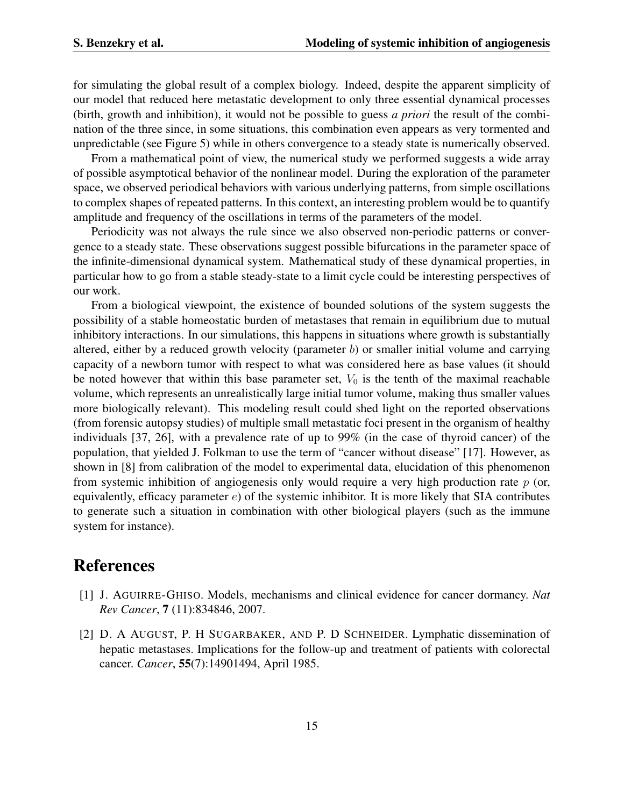for simulating the global result of a complex biology. Indeed, despite the apparent simplicity of our model that reduced here metastatic development to only three essential dynamical processes (birth, growth and inhibition), it would not be possible to guess *a priori* the result of the combination of the three since, in some situations, this combination even appears as very tormented and unpredictable (see Figure 5) while in others convergence to a steady state is numerically observed.

From a mathematical point of view, the numerical study we performed suggests a wide array of possible asymptotical behavior of the nonlinear model. During the exploration of the parameter space, we observed periodical behaviors with various underlying patterns, from simple oscillations to complex shapes of repeated patterns. In this context, an interesting problem would be to quantify amplitude and frequency of the oscillations in terms of the parameters of the model.

Periodicity was not always the rule since we also observed non-periodic patterns or convergence to a steady state. These observations suggest possible bifurcations in the parameter space of the infinite-dimensional dynamical system. Mathematical study of these dynamical properties, in particular how to go from a stable steady-state to a limit cycle could be interesting perspectives of our work.

From a biological viewpoint, the existence of bounded solutions of the system suggests the possibility of a stable homeostatic burden of metastases that remain in equilibrium due to mutual inhibitory interactions. In our simulations, this happens in situations where growth is substantially altered, either by a reduced growth velocity (parameter b) or smaller initial volume and carrying capacity of a newborn tumor with respect to what was considered here as base values (it should be noted however that within this base parameter set,  $V_0$  is the tenth of the maximal reachable volume, which represents an unrealistically large initial tumor volume, making thus smaller values more biologically relevant). This modeling result could shed light on the reported observations (from forensic autopsy studies) of multiple small metastatic foci present in the organism of healthy individuals [37, 26], with a prevalence rate of up to 99% (in the case of thyroid cancer) of the population, that yielded J. Folkman to use the term of "cancer without disease" [17]. However, as shown in [8] from calibration of the model to experimental data, elucidation of this phenomenon from systemic inhibition of angiogenesis only would require a very high production rate  $p$  (or, equivalently, efficacy parameter  $e$ ) of the systemic inhibitor. It is more likely that SIA contributes to generate such a situation in combination with other biological players (such as the immune system for instance).

### References

- [1] J. AGUIRRE-GHISO. Models, mechanisms and clinical evidence for cancer dormancy. *Nat Rev Cancer*, 7 (11):834846, 2007.
- [2] D. A AUGUST, P. H SUGARBAKER, AND P. D SCHNEIDER. Lymphatic dissemination of hepatic metastases. Implications for the follow-up and treatment of patients with colorectal cancer. *Cancer*, 55(7):14901494, April 1985.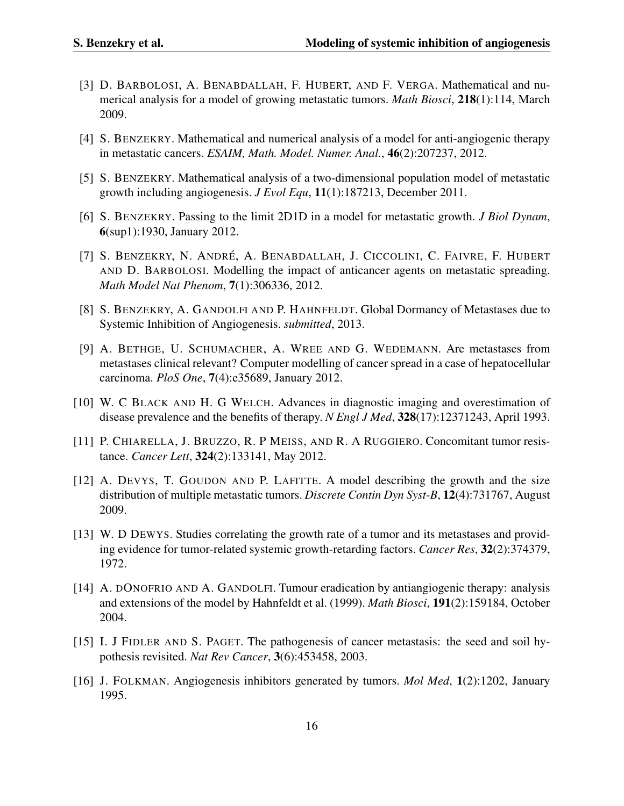- [3] D. BARBOLOSI, A. BENABDALLAH, F. HUBERT, AND F. VERGA. Mathematical and numerical analysis for a model of growing metastatic tumors. *Math Biosci*, 218(1):114, March 2009.
- [4] S. BENZEKRY. Mathematical and numerical analysis of a model for anti-angiogenic therapy in metastatic cancers. *ESAIM, Math. Model. Numer. Anal.*, 46(2):207237, 2012.
- [5] S. BENZEKRY. Mathematical analysis of a two-dimensional population model of metastatic growth including angiogenesis. *J Evol Equ*, 11(1):187213, December 2011.
- [6] S. BENZEKRY. Passing to the limit 2D1D in a model for metastatic growth. *J Biol Dynam*, 6(sup1):1930, January 2012.
- [7] S. BENZEKRY, N. ANDRÉ, A. BENABDALLAH, J. CICCOLINI, C. FAIVRE, F. HUBERT AND D. BARBOLOSI. Modelling the impact of anticancer agents on metastatic spreading. *Math Model Nat Phenom*, 7(1):306336, 2012.
- [8] S. BENZEKRY, A. GANDOLFI AND P. HAHNFELDT. Global Dormancy of Metastases due to Systemic Inhibition of Angiogenesis. *submitted*, 2013.
- [9] A. BETHGE, U. SCHUMACHER, A. WREE AND G. WEDEMANN. Are metastases from metastases clinical relevant? Computer modelling of cancer spread in a case of hepatocellular carcinoma. *PloS One*, 7(4):e35689, January 2012.
- [10] W. C BLACK AND H. G WELCH. Advances in diagnostic imaging and overestimation of disease prevalence and the benefits of therapy. *N Engl J Med*, 328(17):12371243, April 1993.
- [11] P. CHIARELLA, J. BRUZZO, R. P MEISS, AND R. A RUGGIERO. Concomitant tumor resistance. *Cancer Lett*, 324(2):133141, May 2012.
- [12] A. DEVYS, T. GOUDON AND P. LAFITTE. A model describing the growth and the size distribution of multiple metastatic tumors. *Discrete Contin Dyn Syst-B*, 12(4):731767, August 2009.
- [13] W. D DEWYS. Studies correlating the growth rate of a tumor and its metastases and providing evidence for tumor-related systemic growth-retarding factors. *Cancer Res*, 32(2):374379, 1972.
- [14] A. DONOFRIO AND A. GANDOLFI. Tumour eradication by antiangiogenic therapy: analysis and extensions of the model by Hahnfeldt et al. (1999). *Math Biosci*, 191(2):159184, October 2004.
- [15] I. J FIDLER AND S. PAGET. The pathogenesis of cancer metastasis: the seed and soil hypothesis revisited. *Nat Rev Cancer*, 3(6):453458, 2003.
- [16] J. FOLKMAN. Angiogenesis inhibitors generated by tumors. *Mol Med*, 1(2):1202, January 1995.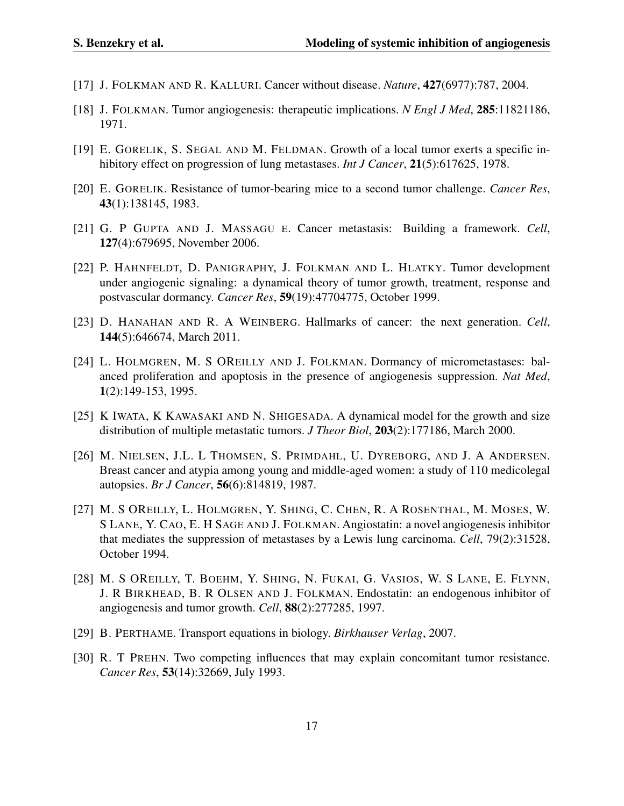- [17] J. FOLKMAN AND R. KALLURI. Cancer without disease. *Nature*, 427(6977):787, 2004.
- [18] J. FOLKMAN. Tumor angiogenesis: therapeutic implications. *N Engl J Med*, 285:11821186, 1971.
- [19] E. GORELIK, S. SEGAL AND M. FELDMAN. Growth of a local tumor exerts a specific inhibitory effect on progression of lung metastases. *Int J Cancer*, 21(5):617625, 1978.
- [20] E. GORELIK. Resistance of tumor-bearing mice to a second tumor challenge. *Cancer Res*, 43(1):138145, 1983.
- [21] G. P GUPTA AND J. MASSAGU E. Cancer metastasis: Building a framework. *Cell*, 127(4):679695, November 2006.
- [22] P. HAHNFELDT, D. PANIGRAPHY, J. FOLKMAN AND L. HLATKY. Tumor development under angiogenic signaling: a dynamical theory of tumor growth, treatment, response and postvascular dormancy. *Cancer Res*, 59(19):47704775, October 1999.
- [23] D. HANAHAN AND R. A WEINBERG. Hallmarks of cancer: the next generation. *Cell*, 144(5):646674, March 2011.
- [24] L. HOLMGREN, M. S OREILLY AND J. FOLKMAN. Dormancy of micrometastases: balanced proliferation and apoptosis in the presence of angiogenesis suppression. *Nat Med*, 1(2):149-153, 1995.
- [25] K IWATA, K KAWASAKI AND N. SHIGESADA. A dynamical model for the growth and size distribution of multiple metastatic tumors. *J Theor Biol*, 203(2):177186, March 2000.
- [26] M. NIELSEN, J.L. L THOMSEN, S. PRIMDAHL, U. DYREBORG, AND J. A ANDERSEN. Breast cancer and atypia among young and middle-aged women: a study of 110 medicolegal autopsies. *Br J Cancer*, 56(6):814819, 1987.
- [27] M. S OREILLY, L. HOLMGREN, Y. SHING, C. CHEN, R. A ROSENTHAL, M. MOSES, W. S LANE, Y. CAO, E. H SAGE AND J. FOLKMAN. Angiostatin: a novel angiogenesis inhibitor that mediates the suppression of metastases by a Lewis lung carcinoma. *Cell*, 79(2):31528, October 1994.
- [28] M. S OREILLY, T. BOEHM, Y. SHING, N. FUKAI, G. VASIOS, W. S LANE, E. FLYNN, J. R BIRKHEAD, B. R OLSEN AND J. FOLKMAN. Endostatin: an endogenous inhibitor of angiogenesis and tumor growth. *Cell*, 88(2):277285, 1997.
- [29] B. PERTHAME. Transport equations in biology. *Birkhauser Verlag*, 2007.
- [30] R. T PREHN. Two competing influences that may explain concomitant tumor resistance. *Cancer Res*, 53(14):32669, July 1993.